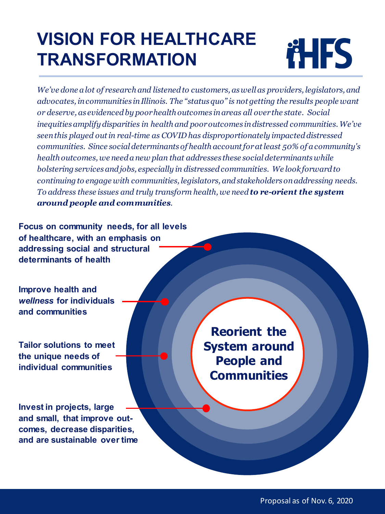# **VISION FOR HEALTHCARE TRANSFORMATION**



*We've done a lot of research and listened to customers, as well as providers, legislators, and advocates, in communities in Illinois. The "status quo" is not getting the results people want or deserve, as evidenced by poor health outcomes in areas all over the state. Social inequities amplify disparities in health and poor outcomes in distressed communities. We've seen this played out in real-time as COVID has disproportionately impacted distressed communities. Since social determinants of health account for at least 50% of a community's health outcomes, we need a new plan that addresses these social determinants while bolstering services and jobs, especially in distressed communities. We look forward to continuing to engage with communities, legislators, and stakeholders on addressing needs. To address these issues and truly transform health, we need to re-orient the system around people and communities.*

**Focus on community needs, for all levels of healthcare, with an emphasis on addressing social and structural determinants of health**

**Improve health and**  *wellness* **for individuals and communities**

**Tailor solutions to meet the unique needs of individual communities**

**Invest in projects, large and small, that improve outcomes, decrease disparities, and are sustainable over time**

**Reorient the System around People and Communities**

Proposal as of Nov. 6, 2020